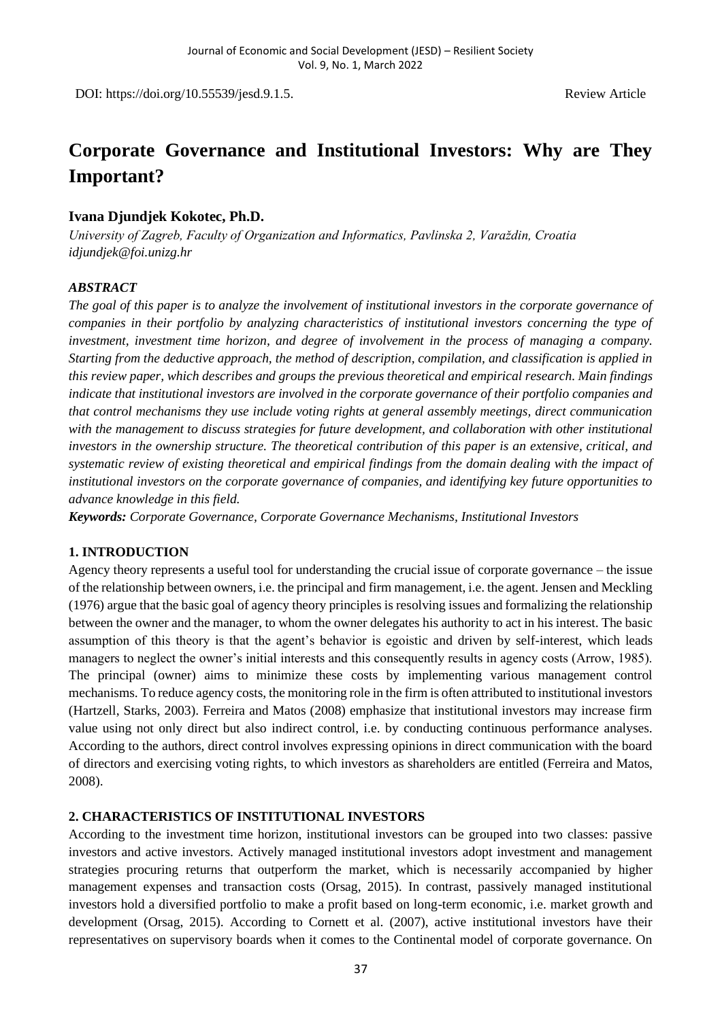DOI: https://doi.org/10.55539/jesd.9.1.5. Review Article

# **Corporate Governance and Institutional Investors: Why are They Important?**

### **Ivana Djundjek Kokotec, Ph.D.**

*University of Zagreb, Faculty of Organization and Informatics, Pavlinska 2, Varaždin, Croatia idjundjek@foi.unizg.hr*

#### *ABSTRACT*

*The goal of this paper is to analyze the involvement of institutional investors in the corporate governance of companies in their portfolio by analyzing characteristics of institutional investors concerning the type of investment, investment time horizon, and degree of involvement in the process of managing a company. Starting from the deductive approach, the method of description, compilation, and classification is applied in this review paper, which describes and groups the previous theoretical and empirical research. Main findings indicate that institutional investors are involved in the corporate governance of their portfolio companies and that control mechanisms they use include voting rights at general assembly meetings, direct communication with the management to discuss strategies for future development, and collaboration with other institutional investors in the ownership structure. The theoretical contribution of this paper is an extensive, critical, and systematic review of existing theoretical and empirical findings from the domain dealing with the impact of institutional investors on the corporate governance of companies, and identifying key future opportunities to advance knowledge in this field.*

*Keywords: Corporate Governance, Corporate Governance Mechanisms, Institutional Investors*

#### **1. INTRODUCTION**

Agency theory represents a useful tool for understanding the crucial issue of corporate governance – the issue of the relationship between owners, i.e. the principal and firm management, i.e. the agent. Jensen and Meckling (1976) argue that the basic goal of agency theory principles is resolving issues and formalizing the relationship between the owner and the manager, to whom the owner delegates his authority to act in his interest. The basic assumption of this theory is that the agent's behavior is egoistic and driven by self-interest, which leads managers to neglect the owner's initial interests and this consequently results in agency costs (Arrow, 1985). The principal (owner) aims to minimize these costs by implementing various management control mechanisms. To reduce agency costs, the monitoring role in the firm is often attributed to institutional investors (Hartzell, Starks, 2003). Ferreira and Matos (2008) emphasize that institutional investors may increase firm value using not only direct but also indirect control, i.e. by conducting continuous performance analyses. According to the authors, direct control involves expressing opinions in direct communication with the board of directors and exercising voting rights, to which investors as shareholders are entitled (Ferreira and Matos, 2008).

#### **2. CHARACTERISTICS OF INSTITUTIONAL INVESTORS**

According to the investment time horizon, institutional investors can be grouped into two classes: passive investors and active investors. Actively managed institutional investors adopt investment and management strategies procuring returns that outperform the market, which is necessarily accompanied by higher management expenses and transaction costs (Orsag, 2015). In contrast, passively managed institutional investors hold a diversified portfolio to make a profit based on long-term economic, i.e. market growth and development (Orsag, 2015). According to Cornett et al. (2007), active institutional investors have their representatives on supervisory boards when it comes to the Continental model of corporate governance. On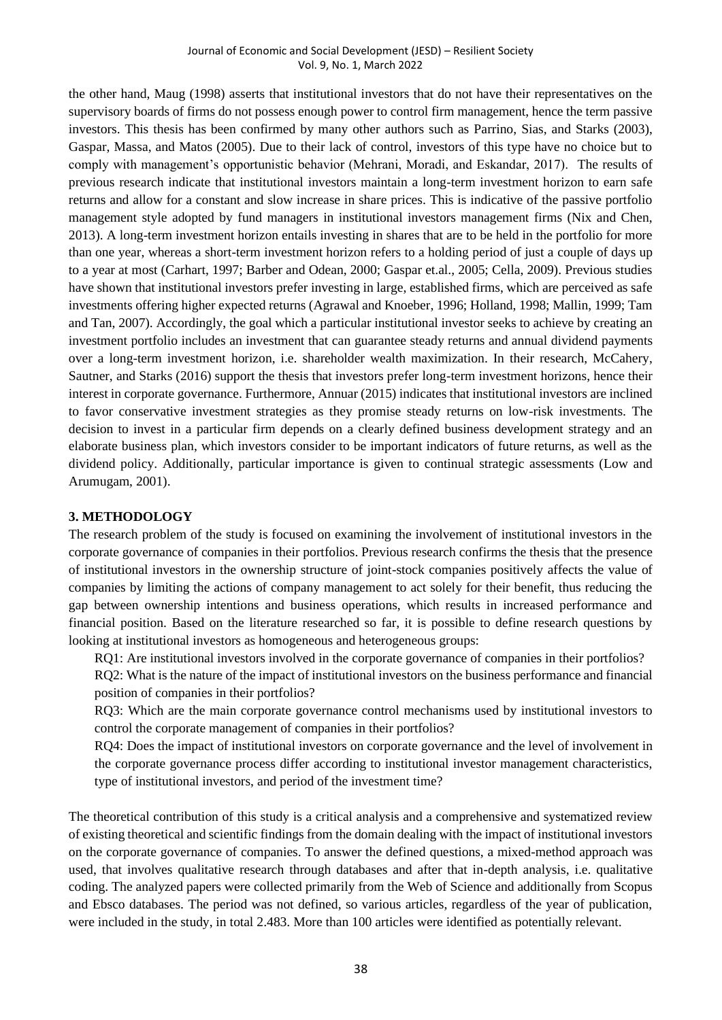the other hand, Maug (1998) asserts that institutional investors that do not have their representatives on the supervisory boards of firms do not possess enough power to control firm management, hence the term passive investors. This thesis has been confirmed by many other authors such as Parrino, Sias, and Starks (2003), Gaspar, Massa, and Matos (2005). Due to their lack of control, investors of this type have no choice but to comply with management's opportunistic behavior (Mehrani, Moradi, and Eskandar, 2017). The results of previous research indicate that institutional investors maintain a long-term investment horizon to earn safe returns and allow for a constant and slow increase in share prices. This is indicative of the passive portfolio management style adopted by fund managers in institutional investors management firms (Nix and Chen, 2013). A long-term investment horizon entails investing in shares that are to be held in the portfolio for more than one year, whereas a short-term investment horizon refers to a holding period of just a couple of days up to a year at most (Carhart, 1997; Barber and Odean, 2000; Gaspar et.al., 2005; Cella, 2009). Previous studies have shown that institutional investors prefer investing in large, established firms, which are perceived as safe investments offering higher expected returns (Agrawal and Knoeber, 1996; Holland, 1998; Mallin, 1999; Tam and Tan, 2007). Accordingly, the goal which a particular institutional investor seeks to achieve by creating an investment portfolio includes an investment that can guarantee steady returns and annual dividend payments over a long-term investment horizon, i.e. shareholder wealth maximization. In their research, McCahery, Sautner, and Starks (2016) support the thesis that investors prefer long-term investment horizons, hence their interest in corporate governance. Furthermore, Annuar (2015) indicates that institutional investors are inclined to favor conservative investment strategies as they promise steady returns on low-risk investments. The decision to invest in a particular firm depends on a clearly defined business development strategy and an elaborate business plan, which investors consider to be important indicators of future returns, as well as the dividend policy. Additionally, particular importance is given to continual strategic assessments (Low and Arumugam, 2001).

#### **3. METHODOLOGY**

The research problem of the study is focused on examining the involvement of institutional investors in the corporate governance of companies in their portfolios. Previous research confirms the thesis that the presence of institutional investors in the ownership structure of joint-stock companies positively affects the value of companies by limiting the actions of company management to act solely for their benefit, thus reducing the gap between ownership intentions and business operations, which results in increased performance and financial position. Based on the literature researched so far, it is possible to define research questions by looking at institutional investors as homogeneous and heterogeneous groups:

RQ1: Are institutional investors involved in the corporate governance of companies in their portfolios?

RQ2: What is the nature of the impact of institutional investors on the business performance and financial position of companies in their portfolios?

RQ3: Which are the main corporate governance control mechanisms used by institutional investors to control the corporate management of companies in their portfolios?

RQ4: Does the impact of institutional investors on corporate governance and the level of involvement in the corporate governance process differ according to institutional investor management characteristics, type of institutional investors, and period of the investment time?

The theoretical contribution of this study is a critical analysis and a comprehensive and systematized review of existing theoretical and scientific findings from the domain dealing with the impact of institutional investors on the corporate governance of companies. To answer the defined questions, a mixed-method approach was used, that involves qualitative research through databases and after that in-depth analysis, i.e. qualitative coding. The analyzed papers were collected primarily from the Web of Science and additionally from Scopus and Ebsco databases. The period was not defined, so various articles, regardless of the year of publication, were included in the study, in total 2.483. More than 100 articles were identified as potentially relevant.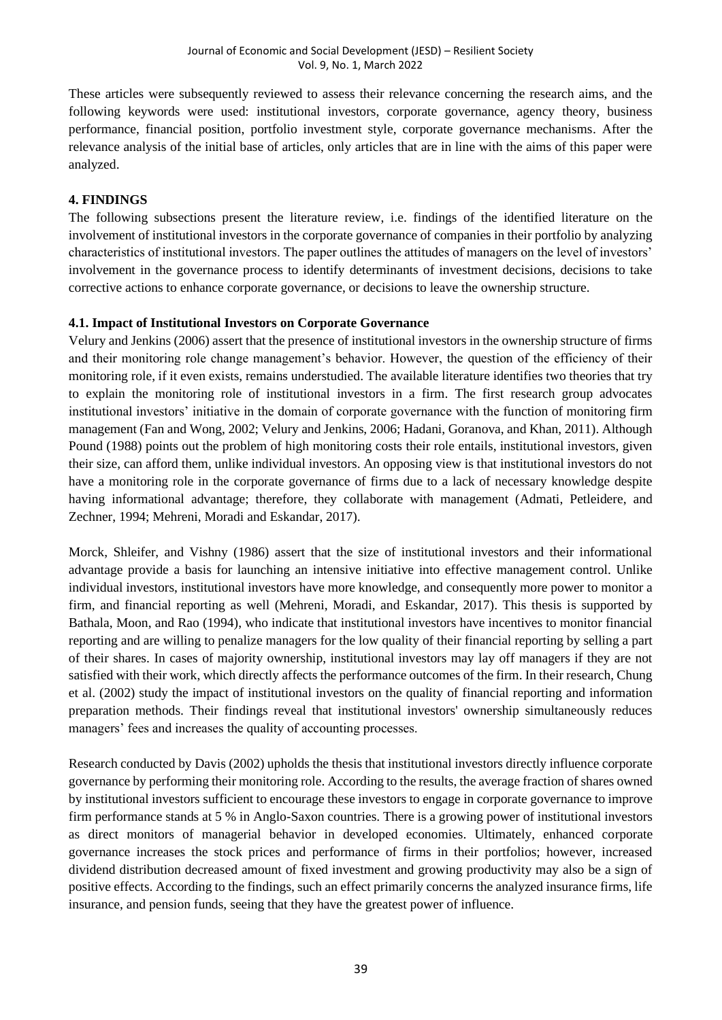These articles were subsequently reviewed to assess their relevance concerning the research aims, and the following keywords were used: institutional investors, corporate governance, agency theory, business performance, financial position, portfolio investment style, corporate governance mechanisms. After the relevance analysis of the initial base of articles, only articles that are in line with the aims of this paper were analyzed.

#### **4. FINDINGS**

The following subsections present the literature review, i.e. findings of the identified literature on the involvement of institutional investors in the corporate governance of companies in their portfolio by analyzing characteristics of institutional investors. The paper outlines the attitudes of managers on the level of investors' involvement in the governance process to identify determinants of investment decisions, decisions to take corrective actions to enhance corporate governance, or decisions to leave the ownership structure.

#### **4.1. Impact of Institutional Investors on Corporate Governance**

Velury and Jenkins (2006) assert that the presence of institutional investors in the ownership structure of firms and their monitoring role change management's behavior. However, the question of the efficiency of their monitoring role, if it even exists, remains understudied. The available literature identifies two theories that try to explain the monitoring role of institutional investors in a firm. The first research group advocates institutional investors' initiative in the domain of corporate governance with the function of monitoring firm management (Fan and Wong, 2002; Velury and Jenkins, 2006; Hadani, Goranova, and Khan, 2011). Although Pound (1988) points out the problem of high monitoring costs their role entails, institutional investors, given their size, can afford them, unlike individual investors. An opposing view is that institutional investors do not have a monitoring role in the corporate governance of firms due to a lack of necessary knowledge despite having informational advantage; therefore, they collaborate with management (Admati, Petleidere, and Zechner, 1994; Mehreni, Moradi and Eskandar, 2017).

Morck, Shleifer, and Vishny (1986) assert that the size of institutional investors and their informational advantage provide a basis for launching an intensive initiative into effective management control. Unlike individual investors, institutional investors have more knowledge, and consequently more power to monitor a firm, and financial reporting as well (Mehreni, Moradi, and Eskandar, 2017). This thesis is supported by Bathala, Moon, and Rao (1994), who indicate that institutional investors have incentives to monitor financial reporting and are willing to penalize managers for the low quality of their financial reporting by selling a part of their shares. In cases of majority ownership, institutional investors may lay off managers if they are not satisfied with their work, which directly affects the performance outcomes of the firm. In their research, Chung et al. (2002) study the impact of institutional investors on the quality of financial reporting and information preparation methods. Their findings reveal that institutional investors' ownership simultaneously reduces managers' fees and increases the quality of accounting processes.

Research conducted by Davis (2002) upholds the thesis that institutional investors directly influence corporate governance by performing their monitoring role. According to the results, the average fraction of shares owned by institutional investors sufficient to encourage these investors to engage in corporate governance to improve firm performance stands at 5 % in Anglo-Saxon countries. There is a growing power of institutional investors as direct monitors of managerial behavior in developed economies. Ultimately, enhanced corporate governance increases the stock prices and performance of firms in their portfolios; however, increased dividend distribution decreased amount of fixed investment and growing productivity may also be a sign of positive effects. According to the findings, such an effect primarily concerns the analyzed insurance firms, life insurance, and pension funds, seeing that they have the greatest power of influence.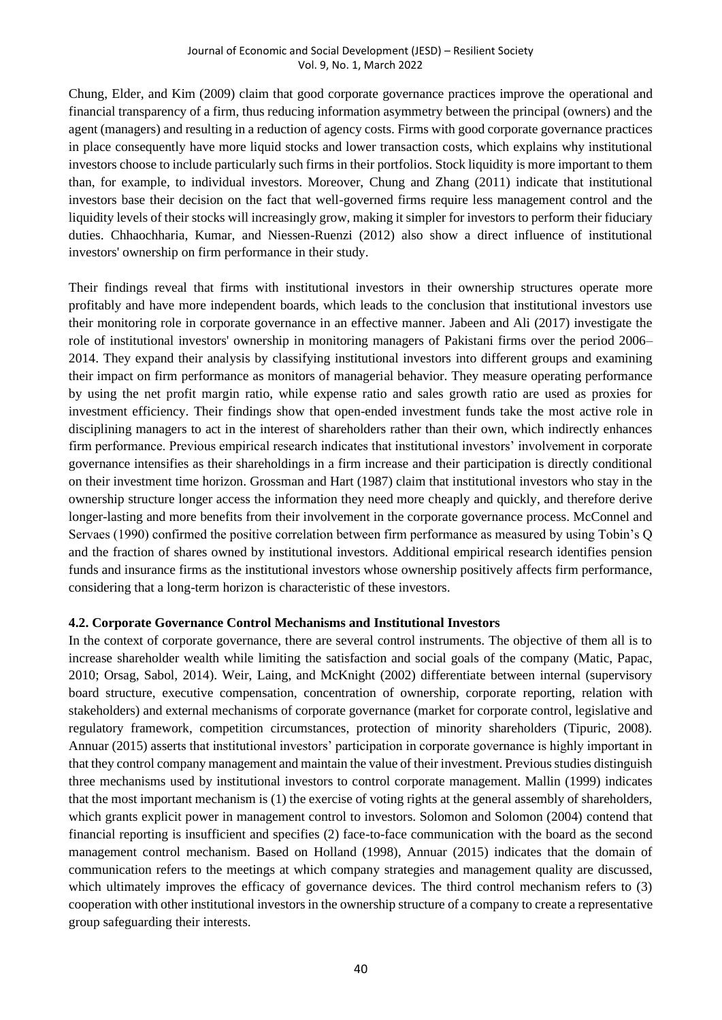Chung, Elder, and Kim (2009) claim that good corporate governance practices improve the operational and financial transparency of a firm, thus reducing information asymmetry between the principal (owners) and the agent (managers) and resulting in a reduction of agency costs. Firms with good corporate governance practices in place consequently have more liquid stocks and lower transaction costs, which explains why institutional investors choose to include particularly such firms in their portfolios. Stock liquidity is more important to them than, for example, to individual investors. Moreover, Chung and Zhang (2011) indicate that institutional investors base their decision on the fact that well-governed firms require less management control and the liquidity levels of their stocks will increasingly grow, making it simpler for investors to perform their fiduciary duties. Chhaochharia, Kumar, and Niessen-Ruenzi (2012) also show a direct influence of institutional investors' ownership on firm performance in their study.

Their findings reveal that firms with institutional investors in their ownership structures operate more profitably and have more independent boards, which leads to the conclusion that institutional investors use their monitoring role in corporate governance in an effective manner. Jabeen and Ali (2017) investigate the role of institutional investors' ownership in monitoring managers of Pakistani firms over the period 2006– 2014. They expand their analysis by classifying institutional investors into different groups and examining their impact on firm performance as monitors of managerial behavior. They measure operating performance by using the net profit margin ratio, while expense ratio and sales growth ratio are used as proxies for investment efficiency. Their findings show that open-ended investment funds take the most active role in disciplining managers to act in the interest of shareholders rather than their own, which indirectly enhances firm performance. Previous empirical research indicates that institutional investors' involvement in corporate governance intensifies as their shareholdings in a firm increase and their participation is directly conditional on their investment time horizon. Grossman and Hart (1987) claim that institutional investors who stay in the ownership structure longer access the information they need more cheaply and quickly, and therefore derive longer-lasting and more benefits from their involvement in the corporate governance process. McConnel and Servaes (1990) confirmed the positive correlation between firm performance as measured by using Tobin's Q and the fraction of shares owned by institutional investors. Additional empirical research identifies pension funds and insurance firms as the institutional investors whose ownership positively affects firm performance, considering that a long-term horizon is characteristic of these investors.

#### **4.2. Corporate Governance Control Mechanisms and Institutional Investors**

In the context of corporate governance, there are several control instruments. The objective of them all is to increase shareholder wealth while limiting the satisfaction and social goals of the company (Matic, Papac, 2010; Orsag, Sabol, 2014). Weir, Laing, and McKnight (2002) differentiate between internal (supervisory board structure, executive compensation, concentration of ownership, corporate reporting, relation with stakeholders) and external mechanisms of corporate governance (market for corporate control, legislative and regulatory framework, competition circumstances, protection of minority shareholders (Tipuric, 2008). Annuar (2015) asserts that institutional investors' participation in corporate governance is highly important in that they control company management and maintain the value of their investment. Previous studies distinguish three mechanisms used by institutional investors to control corporate management. Mallin (1999) indicates that the most important mechanism is (1) the exercise of voting rights at the general assembly of shareholders, which grants explicit power in management control to investors. Solomon and Solomon (2004) contend that financial reporting is insufficient and specifies (2) face-to-face communication with the board as the second management control mechanism. Based on Holland (1998), Annuar (2015) indicates that the domain of communication refers to the meetings at which company strategies and management quality are discussed, which ultimately improves the efficacy of governance devices. The third control mechanism refers to (3) cooperation with other institutional investors in the ownership structure of a company to create a representative group safeguarding their interests.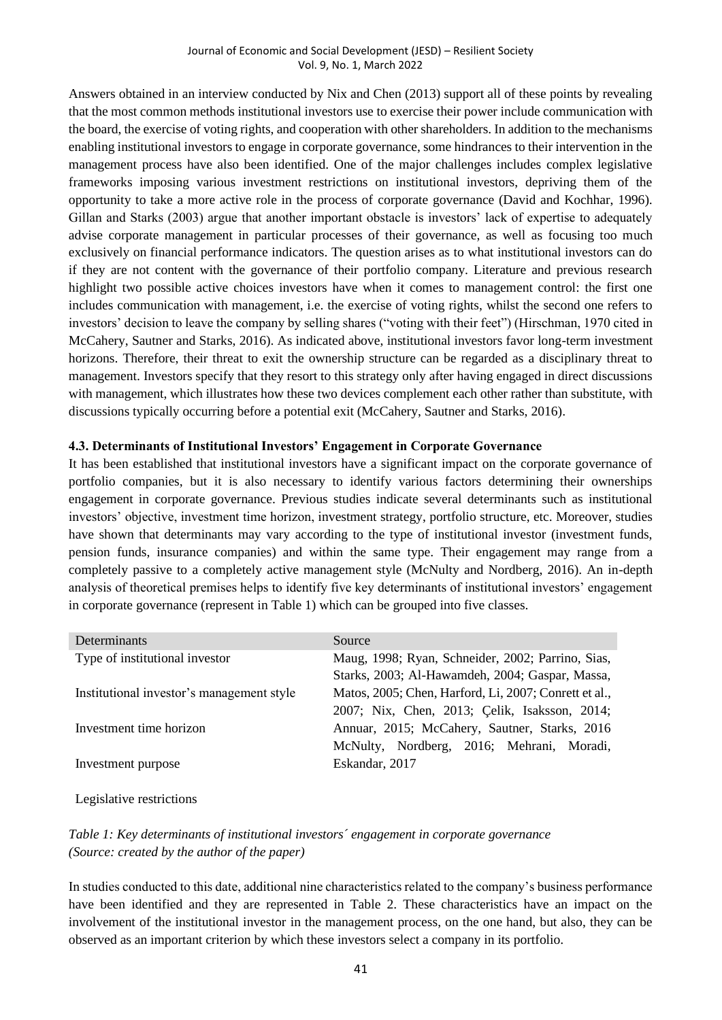Answers obtained in an interview conducted by Nix and Chen (2013) support all of these points by revealing that the most common methods institutional investors use to exercise their power include communication with the board, the exercise of voting rights, and cooperation with other shareholders. In addition to the mechanisms enabling institutional investors to engage in corporate governance, some hindrances to their intervention in the management process have also been identified. One of the major challenges includes complex legislative frameworks imposing various investment restrictions on institutional investors, depriving them of the opportunity to take a more active role in the process of corporate governance (David and Kochhar, 1996). Gillan and Starks (2003) argue that another important obstacle is investors' lack of expertise to adequately advise corporate management in particular processes of their governance, as well as focusing too much exclusively on financial performance indicators. The question arises as to what institutional investors can do if they are not content with the governance of their portfolio company. Literature and previous research highlight two possible active choices investors have when it comes to management control: the first one includes communication with management, i.e. the exercise of voting rights, whilst the second one refers to investors' decision to leave the company by selling shares ("voting with their feet") (Hirschman, 1970 cited in McCahery, Sautner and Starks, 2016). As indicated above, institutional investors favor long-term investment horizons. Therefore, their threat to exit the ownership structure can be regarded as a disciplinary threat to management. Investors specify that they resort to this strategy only after having engaged in direct discussions with management, which illustrates how these two devices complement each other rather than substitute, with discussions typically occurring before a potential exit (McCahery, Sautner and Starks, 2016).

#### **4.3. Determinants of Institutional Investors' Engagement in Corporate Governance**

It has been established that institutional investors have a significant impact on the corporate governance of portfolio companies, but it is also necessary to identify various factors determining their ownerships engagement in corporate governance. Previous studies indicate several determinants such as institutional investors' objective, investment time horizon, investment strategy, portfolio structure, etc. Moreover, studies have shown that determinants may vary according to the type of institutional investor (investment funds, pension funds, insurance companies) and within the same type. Their engagement may range from a completely passive to a completely active management style (McNulty and Nordberg, 2016). An in-depth analysis of theoretical premises helps to identify five key determinants of institutional investors' engagement in corporate governance (represent in Table 1) which can be grouped into five classes.

| Determinants                              | Source                                                |
|-------------------------------------------|-------------------------------------------------------|
| Type of institutional investor            | Maug, 1998; Ryan, Schneider, 2002; Parrino, Sias,     |
|                                           | Starks, 2003; Al-Hawamdeh, 2004; Gaspar, Massa,       |
| Institutional investor's management style | Matos, 2005; Chen, Harford, Li, 2007; Conrett et al., |
|                                           | 2007; Nix, Chen, 2013; Çelik, Isaksson, 2014;         |
| Investment time horizon                   | Annuar, 2015; McCahery, Sautner, Starks, 2016         |
|                                           | McNulty, Nordberg, 2016; Mehrani, Moradi,             |
| Investment purpose                        | Eskandar, 2017                                        |
|                                           |                                                       |
|                                           |                                                       |

Legislative restrictions

*Table 1: Key determinants of institutional investors´ engagement in corporate governance (Source: created by the author of the paper)*

In studies conducted to this date, additional nine characteristics related to the company's business performance have been identified and they are represented in Table 2. These characteristics have an impact on the involvement of the institutional investor in the management process, on the one hand, but also, they can be observed as an important criterion by which these investors select a company in its portfolio.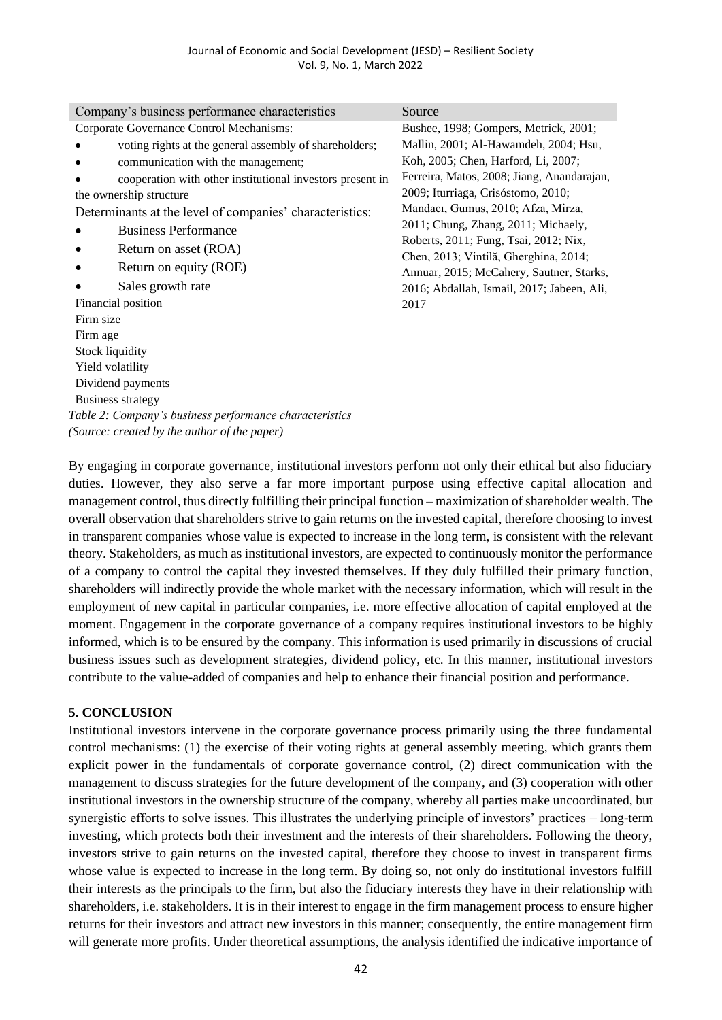| Company's business performance characteristics            | Source                                                                         |
|-----------------------------------------------------------|--------------------------------------------------------------------------------|
| Corporate Governance Control Mechanisms:                  | Bushee, 1998; Gompers, Metrick, 2001;                                          |
| voting rights at the general assembly of shareholders;    | Mallin, 2001; Al-Hawamdeh, 2004; Hsu,                                          |
| communication with the management;                        | Koh, 2005; Chen, Harford, Li, 2007;                                            |
| cooperation with other institutional investors present in | Ferreira, Matos, 2008; Jiang, Anandarajan,                                     |
| the ownership structure                                   | 2009; Iturriaga, Crisóstomo, 2010;                                             |
| Determinants at the level of companies' characteristics:  | Mandaci, Gumus, 2010; Afza, Mirza,                                             |
| <b>Business Performance</b>                               | 2011; Chung, Zhang, 2011; Michaely,                                            |
| Return on asset (ROA)                                     | Roberts, 2011; Fung, Tsai, 2012; Nix,<br>Chen, 2013; Vintilă, Gherghina, 2014; |
| Return on equity (ROE)                                    | Annuar, 2015; McCahery, Sautner, Starks,                                       |
| Sales growth rate                                         | 2016; Abdallah, Ismail, 2017; Jabeen, Ali,                                     |
| Financial position                                        | 2017                                                                           |
| Firm size                                                 |                                                                                |
| Firm age                                                  |                                                                                |
| <b>Stock liquidity</b>                                    |                                                                                |
| Yield volatility                                          |                                                                                |
| Dividend payments                                         |                                                                                |
| Business strategy                                         |                                                                                |
| Table 2: Company's business performance characteristics   |                                                                                |
| (Source: created by the author of the paper)              |                                                                                |

By engaging in corporate governance, institutional investors perform not only their ethical but also fiduciary duties. However, they also serve a far more important purpose using effective capital allocation and management control, thus directly fulfilling their principal function – maximization of shareholder wealth. The overall observation that shareholders strive to gain returns on the invested capital, therefore choosing to invest in transparent companies whose value is expected to increase in the long term, is consistent with the relevant theory. Stakeholders, as much as institutional investors, are expected to continuously monitor the performance of a company to control the capital they invested themselves. If they duly fulfilled their primary function, shareholders will indirectly provide the whole market with the necessary information, which will result in the employment of new capital in particular companies, i.e. more effective allocation of capital employed at the moment. Engagement in the corporate governance of a company requires institutional investors to be highly informed, which is to be ensured by the company. This information is used primarily in discussions of crucial business issues such as development strategies, dividend policy, etc. In this manner, institutional investors contribute to the value-added of companies and help to enhance their financial position and performance.

#### **5. CONCLUSION**

Institutional investors intervene in the corporate governance process primarily using the three fundamental control mechanisms: (1) the exercise of their voting rights at general assembly meeting, which grants them explicit power in the fundamentals of corporate governance control, (2) direct communication with the management to discuss strategies for the future development of the company, and (3) cooperation with other institutional investors in the ownership structure of the company, whereby all parties make uncoordinated, but synergistic efforts to solve issues. This illustrates the underlying principle of investors' practices – long-term investing, which protects both their investment and the interests of their shareholders. Following the theory, investors strive to gain returns on the invested capital, therefore they choose to invest in transparent firms whose value is expected to increase in the long term. By doing so, not only do institutional investors fulfill their interests as the principals to the firm, but also the fiduciary interests they have in their relationship with shareholders, i.e. stakeholders. It is in their interest to engage in the firm management process to ensure higher returns for their investors and attract new investors in this manner; consequently, the entire management firm will generate more profits. Under theoretical assumptions, the analysis identified the indicative importance of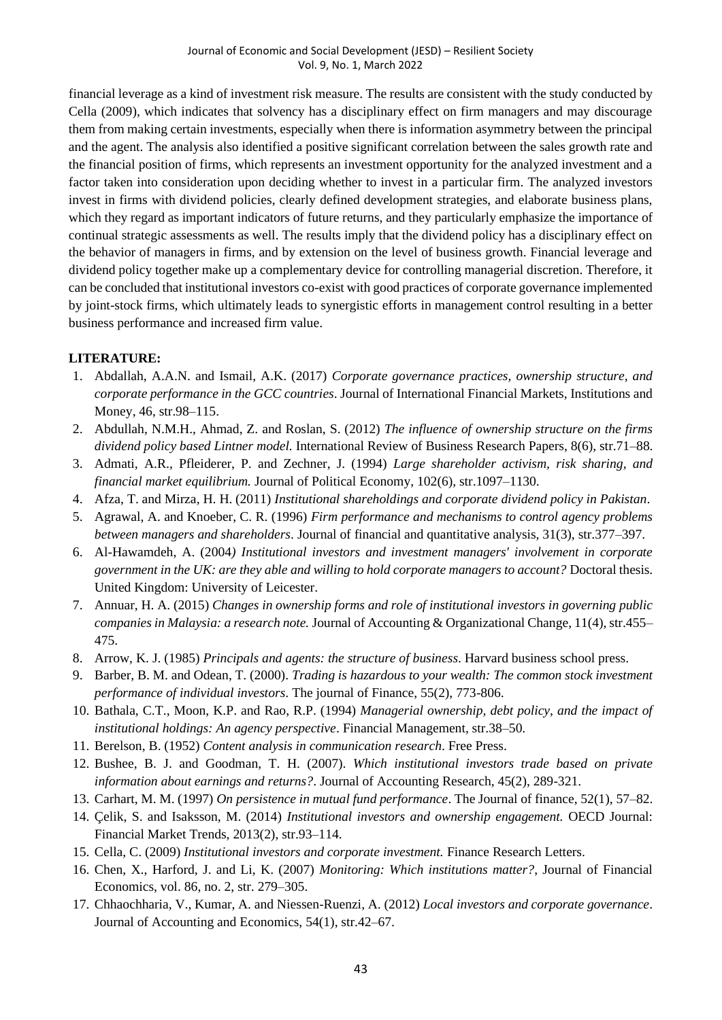financial leverage as a kind of investment risk measure. The results are consistent with the study conducted by Cella (2009), which indicates that solvency has a disciplinary effect on firm managers and may discourage them from making certain investments, especially when there is information asymmetry between the principal and the agent. The analysis also identified a positive significant correlation between the sales growth rate and the financial position of firms, which represents an investment opportunity for the analyzed investment and a factor taken into consideration upon deciding whether to invest in a particular firm. The analyzed investors invest in firms with dividend policies, clearly defined development strategies, and elaborate business plans, which they regard as important indicators of future returns, and they particularly emphasize the importance of continual strategic assessments as well. The results imply that the dividend policy has a disciplinary effect on the behavior of managers in firms, and by extension on the level of business growth. Financial leverage and dividend policy together make up a complementary device for controlling managerial discretion. Therefore, it can be concluded that institutional investors co-exist with good practices of corporate governance implemented by joint-stock firms, which ultimately leads to synergistic efforts in management control resulting in a better business performance and increased firm value.

## **LITERATURE:**

- 1. Abdallah, A.A.N. and Ismail, A.K. (2017) *Corporate governance practices, ownership structure, and corporate performance in the GCC countries*. Journal of International Financial Markets, Institutions and Money, 46, str.98–115.
- 2. Abdullah, N.M.H., Ahmad, Z. and Roslan, S. (2012) *The influence of ownership structure on the firms dividend policy based Lintner model.* International Review of Business Research Papers, 8(6), str.71–88.
- 3. Admati, A.R., Pfleiderer, P. and Zechner, J. (1994) *Large shareholder activism, risk sharing, and financial market equilibrium.* Journal of Political Economy, 102(6), str.1097–1130.
- 4. Afza, T. and Mirza, H. H. (2011) *Institutional shareholdings and corporate dividend policy in Pakistan*.
- 5. Agrawal, A. and Knoeber, C. R. (1996) *Firm performance and mechanisms to control agency problems between managers and shareholders*. Journal of financial and quantitative analysis, 31(3), str.377–397.
- 6. Al-Hawamdeh, A. (2004*) Institutional investors and investment managers' involvement in corporate government in the UK: are they able and willing to hold corporate managers to account?* Doctoral thesis. United Kingdom: University of Leicester.
- 7. Annuar, H. A. (2015) *Changes in ownership forms and role of institutional investors in governing public companies in Malaysia: a research note.* Journal of Accounting & Organizational Change, 11(4), str.455– 475.
- 8. Arrow, K. J. (1985) *Principals and agents: the structure of business*. Harvard business school press.
- 9. Barber, B. M. and Odean, T. (2000). *Trading is hazardous to your wealth: The common stock investment performance of individual investors*. The journal of Finance, 55(2), 773-806.
- 10. Bathala, C.T., Moon, K.P. and Rao, R.P. (1994) *Managerial ownership, debt policy, and the impact of institutional holdings: An agency perspective*. Financial Management, str.38–50.
- 11. Berelson, B. (1952) *Content analysis in communication research*. Free Press.
- 12. Bushee, B. J. and Goodman, T. H. (2007). *Which institutional investors trade based on private information about earnings and returns?*. Journal of Accounting Research, 45(2), 289-321.
- 13. Carhart, M. M. (1997) *On persistence in mutual fund performance*. The Journal of finance, 52(1), 57–82.
- 14. Çelik, S. and Isaksson, M. (2014) *Institutional investors and ownership engagement.* OECD Journal: Financial Market Trends, 2013(2), str.93–114.
- 15. Cella, C. (2009) *Institutional investors and corporate investment.* Finance Research Letters.
- 16. Chen, X., Harford, J. and Li, K. (2007) *Monitoring: Which institutions matter?*, Journal of Financial Economics, vol. 86, no. 2, str. 279–305.
- 17. Chhaochharia, V., Kumar, A. and Niessen-Ruenzi, A. (2012) *Local investors and corporate governance*. Journal of Accounting and Economics, 54(1), str.42–67.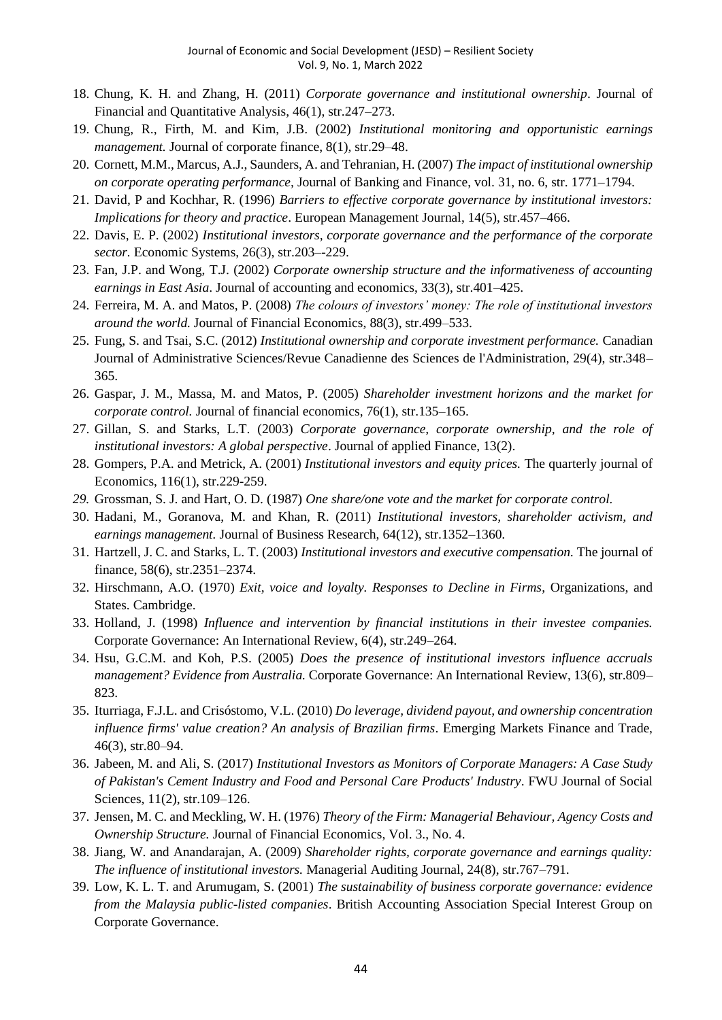- 18. Chung, K. H. and Zhang, H. (2011) *Corporate governance and institutional ownership*. Journal of Financial and Quantitative Analysis, 46(1), str.247–273.
- 19. Chung, R., Firth, M. and Kim, J.B. (2002) *Institutional monitoring and opportunistic earnings management.* Journal of corporate finance, 8(1), str.29–48.
- 20. Cornett, M.M., Marcus, A.J., Saunders, A. and Tehranian, H. (2007) *The impact of institutional ownership on corporate operating performance,* Journal of Banking and Finance, vol. 31, no. 6, str. 1771–1794.
- 21. David, P and Kochhar, R. (1996) *Barriers to effective corporate governance by institutional investors: Implications for theory and practice*. European Management Journal, 14(5), str.457–466.
- 22. Davis, E. P. (2002) *Institutional investors, corporate governance and the performance of the corporate sector.* Economic Systems, 26(3), str.203–-229.
- 23. Fan, J.P. and Wong, T.J. (2002) *Corporate ownership structure and the informativeness of accounting earnings in East Asia*. Journal of accounting and economics, 33(3), str.401–425.
- 24. Ferreira, M. A. and Matos, P. (2008) *The colours of investors' money: The role of institutional investors around the world.* Journal of Financial Economics, 88(3), str.499–533.
- 25. Fung, S. and Tsai, S.C. (2012) *Institutional ownership and corporate investment performance.* Canadian Journal of Administrative Sciences/Revue Canadienne des Sciences de l'Administration, 29(4), str.348– 365.
- 26. Gaspar, J. M., Massa, M. and Matos, P. (2005) *Shareholder investment horizons and the market for corporate control.* Journal of financial economics, 76(1), str.135–165.
- 27. Gillan, S. and Starks, L.T. (2003) *Corporate governance, corporate ownership, and the role of institutional investors: A global perspective*. Journal of applied Finance, 13(2).
- 28. Gompers, P.A. and Metrick, A. (2001) *Institutional investors and equity prices.* The quarterly journal of Economics, 116(1), str.229-259.
- *29.* Grossman, S. J. and Hart, O. D. (1987) *One share/one vote and the market for corporate control.*
- 30. Hadani, M., Goranova, M. and Khan, R. (2011) *Institutional investors, shareholder activism, and earnings management.* Journal of Business Research, 64(12), str.1352–1360.
- 31. Hartzell, J. C. and Starks, L. T. (2003) *Institutional investors and executive compensation.* The journal of finance, 58(6), str.2351–2374.
- 32. Hirschmann, A.O. (1970) *Exit, voice and loyalty. Responses to Decline in Firms*, Organizations, and States. Cambridge.
- 33. Holland, J. (1998) *Influence and intervention by financial institutions in their investee companies.* Corporate Governance: An International Review, 6(4), str.249–264.
- 34. Hsu, G.C.M. and Koh, P.S. (2005) *Does the presence of institutional investors influence accruals management? Evidence from Australia.* Corporate Governance: An International Review, 13(6), str.809– 823.
- 35. Iturriaga, F.J.L. and Crisóstomo, V.L. (2010) *Do leverage, dividend payout, and ownership concentration influence firms' value creation? An analysis of Brazilian firms*. Emerging Markets Finance and Trade, 46(3), str.80–94.
- 36. Jabeen, M. and Ali, S. (2017) *Institutional Investors as Monitors of Corporate Managers: A Case Study of Pakistan's Cement Industry and Food and Personal Care Products' Industry*. FWU Journal of Social Sciences, 11(2), str.109–126.
- 37. Jensen, M. C. and Meckling, W. H. (1976) *Theory of the Firm: Managerial Behaviour, Agency Costs and Ownership Structure.* Journal of Financial Economics, Vol. 3., No. 4.
- 38. Jiang, W. and Anandarajan, A. (2009) *Shareholder rights, corporate governance and earnings quality: The influence of institutional investors.* Managerial Auditing Journal, 24(8), str.767–791.
- 39. Low, K. L. T. and Arumugam, S. (2001) *The sustainability of business corporate governance: evidence from the Malaysia public-listed companies*. British Accounting Association Special Interest Group on Corporate Governance.